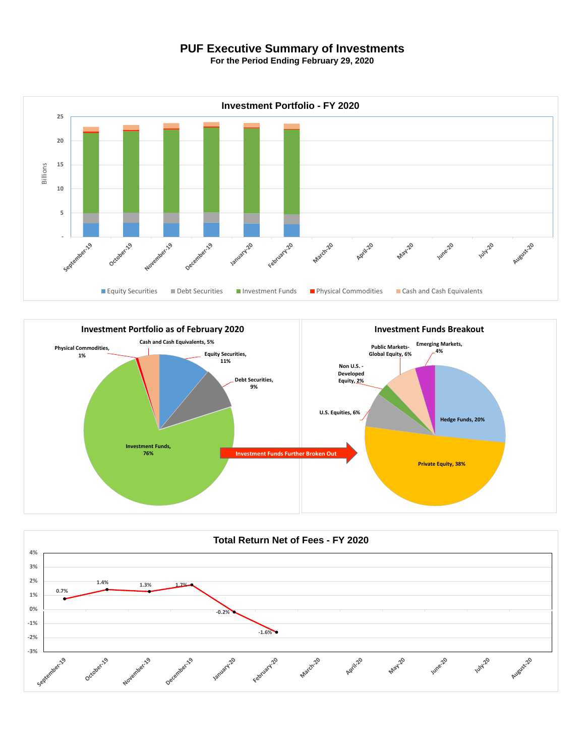## **PUF Executive Summary of Investments**

**For the Period Ending February 29, 2020**